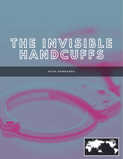## **T H E I N V I S I B L E H A N D C U F F S**

MUNA ROMMANEH

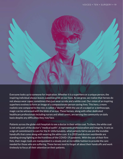

Everyone looks up to someone for inspiration. Whether it is a superhero or a unique person, the inspiring individual always leaves a positive print on our lives. As we grow, we realize that heroes do not always wear capes; sometimes they just wear scrubs and a white coat. Our vision of an inspiring superhero evolves to form an image of a compassionate person saving lives. This hero, a more realistic one compared to the rest, is called a "doctor". With the use of a scalpel or a stethoscope, magic can be witnessed with the blink of an eye. These heroes, along with other dedicated healthcare professionals including nurses and allied carers, are serving the community on daily basis despite any difficulties they may face.

Patients across the globe visit hospitals to see a doctor in their white coat. To them, the white coat is not only part of the doctor's "medical outfit", it represents professionalism and integrity. It acts as a sign of commitment to care for the ill. Unfortunately, what patients fail to see are the invisible handcuffs that come along with wearing the white coat. It is 2020 and doctors worldwide are standing strong fighting at the frontlines of the COVID-19 pandemic. With the use of their firm fists, their magic tools are manipulated in a steady and an incredible fashion to provide the care needed for those who are suffering. These heroes tend to forget all about their handcuffs and work tirelessly to focus all their attention on their patients.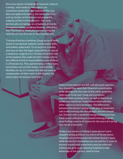Not every doctor is handcuffed; however, those in training - both medical and surgical- are sometimes handcuffed and exploited. The case does not apply everywhere, but some countries, such as Jordan, to this day are not paying the majority of their trainee doctors - the same doctors who are taking care of patients in wards, emergency rooms, operating theatres, and clinics. Yes! The invisible handcuffs are restraining the same doctor you first see at your hospital visit.

Training of doctors combines a huge array of tasks aimed at saving their patients, burdensome shifts, and endless paperwork. To no surprise, trainees also have to bear the legal responsibility in case of a medical or surgical error! As they finish their job at the hospital, they walk into their homes only to face different kind of responsibilities; one of those is a financial one. They spend money on their basic necessities such as food, books, rent and bills. Needless to say, it is money that did not come as compensation of their work at the hospital. So, where does this money come from?

> Many trainee doctors are left with the same question, how should they meet their financial commitments while abiding with the rules of this unfair game that takes years to be over! Long and sometimes unpredictable working hours, as well as theoretical books that need to be studied leave them with few other options to earn an income. The differences between the doctors' backgrounds play an important role in determining who should train and who should not. Doctors with a wealthier background tend to face fewer issues with joining an unpaid training program since finding a source of income for the years of training may not be a necessity.

> Modern day slavery is hitting trainee doctors hard. Unpaid training positions are a form of forced labour. Hospitals are profiting from the trainee doctors' work, while the doctors themselves are not paid for it. Laws to prevent unpaid work experience must be enforced without any gray areas allowing hospitals to take advantage of the doctors' need to train.